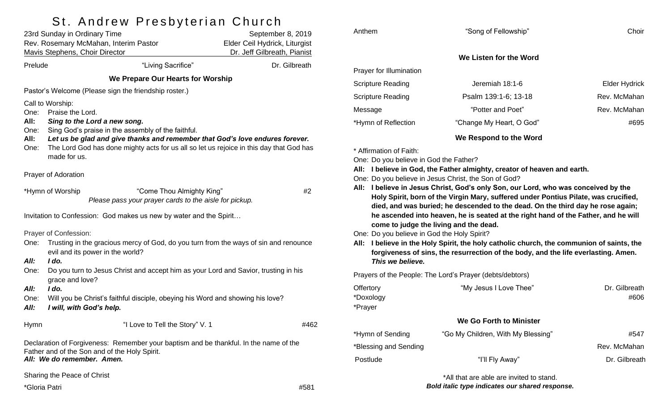# St. Andrew Presbyterian Church

| 23rd Sunday in Ordinary Time                                                                                                                                         |                                                                                                                                                                                                                                                                                                                       | September 8, 2019             |  |  |  |
|----------------------------------------------------------------------------------------------------------------------------------------------------------------------|-----------------------------------------------------------------------------------------------------------------------------------------------------------------------------------------------------------------------------------------------------------------------------------------------------------------------|-------------------------------|--|--|--|
| Rev. Rosemary McMahan, Interim Pastor                                                                                                                                |                                                                                                                                                                                                                                                                                                                       | Elder Ceil Hydrick, Liturgist |  |  |  |
|                                                                                                                                                                      | Mavis Stephens, Choir Director                                                                                                                                                                                                                                                                                        | Dr. Jeff Gilbreath, Pianist   |  |  |  |
| Prelude                                                                                                                                                              | "Living Sacrifice"                                                                                                                                                                                                                                                                                                    | Dr. Gilbreath                 |  |  |  |
|                                                                                                                                                                      | We Prepare Our Hearts for Worship                                                                                                                                                                                                                                                                                     |                               |  |  |  |
| Pastor's Welcome (Please sign the friendship roster.)                                                                                                                |                                                                                                                                                                                                                                                                                                                       |                               |  |  |  |
| One:<br>All:<br>One:<br>All:<br>One:                                                                                                                                 | Call to Worship:<br>Praise the Lord.<br>Sing to the Lord a new song.<br>Sing God's praise in the assembly of the faithful.<br>Let us be glad and give thanks and remember that God's love endures forever.<br>The Lord God has done mighty acts for us all so let us rejoice in this day that God has<br>made for us. |                               |  |  |  |
| Prayer of Adoration                                                                                                                                                  |                                                                                                                                                                                                                                                                                                                       |                               |  |  |  |
|                                                                                                                                                                      | *Hymn of Worship<br>"Come Thou Almighty King"<br>Please pass your prayer cards to the aisle for pickup.                                                                                                                                                                                                               | #2                            |  |  |  |
| Invitation to Confession: God makes us new by water and the Spirit                                                                                                   |                                                                                                                                                                                                                                                                                                                       |                               |  |  |  |
| Prayer of Confession:<br>One:<br>Trusting in the gracious mercy of God, do you turn from the ways of sin and renounce<br>evil and its power in the world?            |                                                                                                                                                                                                                                                                                                                       |                               |  |  |  |
| All:<br>One:                                                                                                                                                         | I do.<br>Do you turn to Jesus Christ and accept him as your Lord and Savior, trusting in his<br>grace and love?                                                                                                                                                                                                       |                               |  |  |  |
| All:<br>One:<br>All:                                                                                                                                                 | I do.<br>Will you be Christ's faithful disciple, obeying his Word and showing his love?<br>I will, with God's help.                                                                                                                                                                                                   |                               |  |  |  |
| <b>Hymn</b>                                                                                                                                                          | "I Love to Tell the Story" V. 1                                                                                                                                                                                                                                                                                       | #462                          |  |  |  |
| Declaration of Forgiveness: Remember your baptism and be thankful. In the name of the<br>Father and of the Son and of the Holy Spirit.<br>All: We do remember. Amen. |                                                                                                                                                                                                                                                                                                                       |                               |  |  |  |
| Sharing the Peace of Christ                                                                                                                                          |                                                                                                                                                                                                                                                                                                                       |                               |  |  |  |
| *Gloria Patri<br>#581                                                                                                                                                |                                                                                                                                                                                                                                                                                                                       |                               |  |  |  |

| Anthem                                                                          | "Song of Fellowship"                                                                                                                                                                                                                                                                                                                                                                                                                                                                                                                                                                                                                                                                                      | Choir                 |
|---------------------------------------------------------------------------------|-----------------------------------------------------------------------------------------------------------------------------------------------------------------------------------------------------------------------------------------------------------------------------------------------------------------------------------------------------------------------------------------------------------------------------------------------------------------------------------------------------------------------------------------------------------------------------------------------------------------------------------------------------------------------------------------------------------|-----------------------|
|                                                                                 | We Listen for the Word                                                                                                                                                                                                                                                                                                                                                                                                                                                                                                                                                                                                                                                                                    |                       |
| Prayer for Illumination                                                         |                                                                                                                                                                                                                                                                                                                                                                                                                                                                                                                                                                                                                                                                                                           |                       |
| <b>Scripture Reading</b>                                                        | Jeremiah 18:1-6                                                                                                                                                                                                                                                                                                                                                                                                                                                                                                                                                                                                                                                                                           | <b>Elder Hydrick</b>  |
| <b>Scripture Reading</b>                                                        | Psalm 139:1-6; 13-18                                                                                                                                                                                                                                                                                                                                                                                                                                                                                                                                                                                                                                                                                      | Rev. McMahan          |
| Message                                                                         | "Potter and Poet"                                                                                                                                                                                                                                                                                                                                                                                                                                                                                                                                                                                                                                                                                         | Rev. McMahan          |
| *Hymn of Reflection                                                             | "Change My Heart, O God"                                                                                                                                                                                                                                                                                                                                                                                                                                                                                                                                                                                                                                                                                  | #695                  |
|                                                                                 | We Respond to the Word                                                                                                                                                                                                                                                                                                                                                                                                                                                                                                                                                                                                                                                                                    |                       |
| All:<br>One: Do you believe in God the Holy Spirit?<br>All:<br>This we believe. | All: I believe in God, the Father almighty, creator of heaven and earth.<br>One: Do you believe in Jesus Christ, the Son of God?<br>I believe in Jesus Christ, God's only Son, our Lord, who was conceived by the<br>Holy Spirit, born of the Virgin Mary, suffered under Pontius Pilate, was crucified,<br>died, and was buried; he descended to the dead. On the third day he rose again;<br>he ascended into heaven, he is seated at the right hand of the Father, and he will<br>come to judge the living and the dead.<br>I believe in the Holy Spirit, the holy catholic church, the communion of saints, the<br>forgiveness of sins, the resurrection of the body, and the life everlasting. Amen. |                       |
|                                                                                 | Prayers of the People: The Lord's Prayer (debts/debtors)                                                                                                                                                                                                                                                                                                                                                                                                                                                                                                                                                                                                                                                  |                       |
| Offertory<br>*Doxology<br>*Prayer                                               | "My Jesus I Love Thee"                                                                                                                                                                                                                                                                                                                                                                                                                                                                                                                                                                                                                                                                                    | Dr. Gilbreath<br>#606 |
|                                                                                 | We Go Forth to Minister                                                                                                                                                                                                                                                                                                                                                                                                                                                                                                                                                                                                                                                                                   |                       |
| *Hymn of Sending                                                                | "Go My Children, With My Blessing"                                                                                                                                                                                                                                                                                                                                                                                                                                                                                                                                                                                                                                                                        | #547                  |

|                       |                 | .             |
|-----------------------|-----------------|---------------|
| *Blessing and Sending |                 | Rev. McMahan  |
| Postlude              | "I'll Fly Away" | Dr. Gilbreath |

\*All that are able are invited to stand. *Bold italic type indicates our shared response.*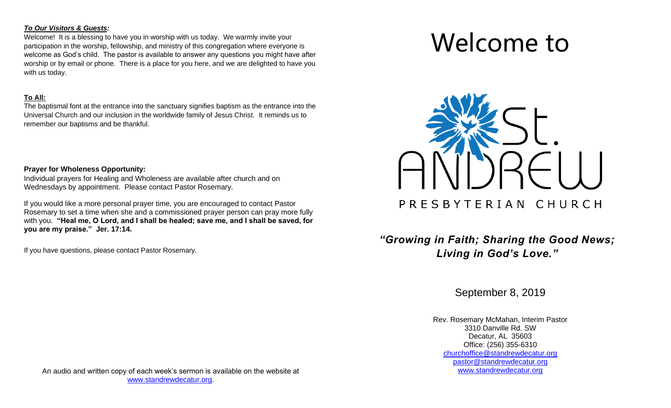### *To Our Visitors & Guests:*

Welcome! It is a blessing to have you in worship with us today. We warmly invite your participation in the worship, fellowship, and ministry of this congregation where everyone is welcome as God's child. The pastor is available to answer any questions you might have after worship or by email or phone. There is a place for you here, and we are delighted to have you with us today.

### **To All:**

The baptismal font at the entrance into the sanctuary signifies baptism as the entrance into the Universal Church and our inclusion in the worldwide family of Jesus Christ. It reminds us to remember our baptisms and be thankful.

### **Prayer for Wholeness Opportunity:**

Individual prayers for Healing and Wholeness are available after church and on Wednesdays by appointment. Please contact Pastor Rosemary.

If you would like a more personal prayer time, you are encouraged to contact Pastor Rosemary to set a time when she and a commissioned prayer person can pray more fully with you. **"Heal me, O Lord, and I shall be healed; save me, and I shall be saved, for you are my praise." Jer. 17:14.**

If you have questions, please contact Pastor Rosemary.

# Welcome to



## *"Growing in Faith; Sharing the Good News; Living in God's Love."*

September 8, 2019

Rev. Rosemary McMahan, Interim Pastor 3310 Danville Rd. SW Decatur, AL 35603 Office: (256) 355-6310 [churchoffice@standrewdecatur.org](mailto:churchoffice@standrewdecatur.org) pastor@standrewdecatur.org [www.standrewdecatur.org](http://www.standrewdecatur.org/)